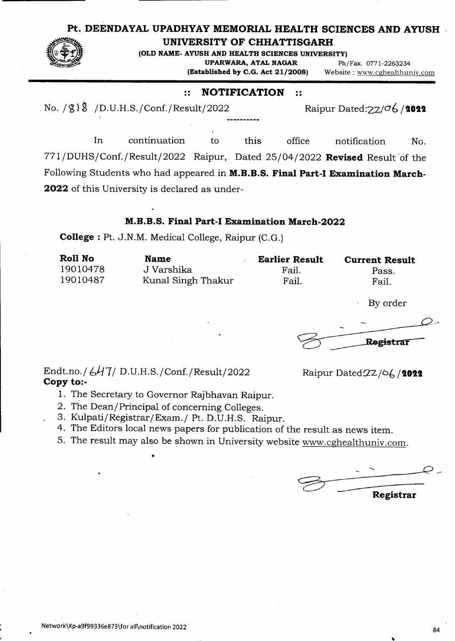## **Pt. DEENDAYAL UPADHYAY MEMORIAL HEALTH SCIENCES AND AYUSH**



**UNIVERSITY OF CHHATTISGARH** 

**(OLD NAME- AYUSH AND HEALTH SCIENCES UNIVERSITY) UPARWARA, ATAL NAGAR** Ph/Fax. 0771-2263234<br>**(Established by C.G. Act 21/2008)** Website: www.cghealthur

**(Established by C.G. Act 21/2008)** Website : www.cghealthuniv.com

## :: **NOTIFICATION** ::

No. */*21 *A /D.U.H.S./Conf./Result/2022* Raipur Dated: $\frac{2}{\sqrt{6}}$ /2022

In continuation to this office notification No. 771/DUHS/Conf./Result/2022 Raipur, Dated 25/04/2022 **Revised** Result of the Following Students who had appeared in **M.B.B.S. Final Part-I Examination March**-**2022** of this University is declared as under-

## **M.B.B.S. Final Part-I Examination March-2022**

**College** : Pt. J.N.M. Medical College, Raipur (C.G.)

| Roll No  | <b>Name</b>        | <b>Earlier Result</b> | <b>Current Result</b> |
|----------|--------------------|-----------------------|-----------------------|
| 19010478 | J Varshika         | Fail.                 | Pass.                 |
| 19010487 | Kunal Singh Thakur | Fail.                 | Fail.                 |

By order

Registrar

Endt.no./  $\frac{L}{L}$  7/ D.U.H.S./Conf./Result/2022 Raipur Dated 2Z/06/2022 **Copy to:**-

- 1. The Secretary to Governor Rajbhavan Raipur.
- 2. The Dean/Principal of concerning Colleges.

S

- 3. Kulpati/Registrar/Exam./ Pt. D.U.H.S. Raipur.
- 4. The Editors local news papers for publication of the result as news item.
- 5. The result may also be shown in University website www.cghealthuniv.com.

**Registrar**